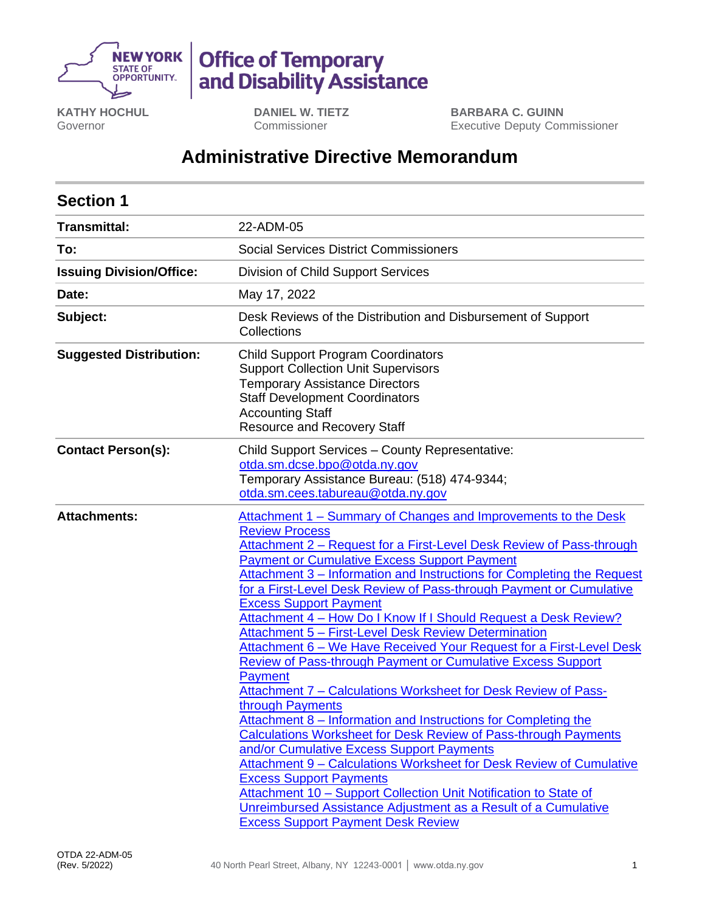

# **Office of Temporary<br>and Disability Assistance**

**KATHY HOCHUL** Governor

**DANIEL W. TIETZ** Commissioner

**BARBARA C. GUINN** Executive Deputy Commissioner

# **Administrative Directive Memorandum**

| <b>Section 1</b>                |                                                                                                                                                                                                                                                                                                                                                                                                                                                                                                                                                                                                                                                                                                                                                                                                                                                                                                                                                                                                                                                                                                                                                                                                                                                                        |  |  |  |  |
|---------------------------------|------------------------------------------------------------------------------------------------------------------------------------------------------------------------------------------------------------------------------------------------------------------------------------------------------------------------------------------------------------------------------------------------------------------------------------------------------------------------------------------------------------------------------------------------------------------------------------------------------------------------------------------------------------------------------------------------------------------------------------------------------------------------------------------------------------------------------------------------------------------------------------------------------------------------------------------------------------------------------------------------------------------------------------------------------------------------------------------------------------------------------------------------------------------------------------------------------------------------------------------------------------------------|--|--|--|--|
| <b>Transmittal:</b>             | 22-ADM-05                                                                                                                                                                                                                                                                                                                                                                                                                                                                                                                                                                                                                                                                                                                                                                                                                                                                                                                                                                                                                                                                                                                                                                                                                                                              |  |  |  |  |
| To:                             | <b>Social Services District Commissioners</b>                                                                                                                                                                                                                                                                                                                                                                                                                                                                                                                                                                                                                                                                                                                                                                                                                                                                                                                                                                                                                                                                                                                                                                                                                          |  |  |  |  |
| <b>Issuing Division/Office:</b> | Division of Child Support Services                                                                                                                                                                                                                                                                                                                                                                                                                                                                                                                                                                                                                                                                                                                                                                                                                                                                                                                                                                                                                                                                                                                                                                                                                                     |  |  |  |  |
| Date:                           | May 17, 2022                                                                                                                                                                                                                                                                                                                                                                                                                                                                                                                                                                                                                                                                                                                                                                                                                                                                                                                                                                                                                                                                                                                                                                                                                                                           |  |  |  |  |
| Subject:                        | Desk Reviews of the Distribution and Disbursement of Support<br>Collections                                                                                                                                                                                                                                                                                                                                                                                                                                                                                                                                                                                                                                                                                                                                                                                                                                                                                                                                                                                                                                                                                                                                                                                            |  |  |  |  |
| <b>Suggested Distribution:</b>  | <b>Child Support Program Coordinators</b><br><b>Support Collection Unit Supervisors</b><br><b>Temporary Assistance Directors</b><br><b>Staff Development Coordinators</b><br><b>Accounting Staff</b><br><b>Resource and Recovery Staff</b>                                                                                                                                                                                                                                                                                                                                                                                                                                                                                                                                                                                                                                                                                                                                                                                                                                                                                                                                                                                                                             |  |  |  |  |
| <b>Contact Person(s):</b>       | Child Support Services - County Representative:<br>otda.sm.dcse.bpo@otda.ny.gov<br>Temporary Assistance Bureau: (518) 474-9344;<br>otda.sm.cees.tabureau@otda.ny.gov                                                                                                                                                                                                                                                                                                                                                                                                                                                                                                                                                                                                                                                                                                                                                                                                                                                                                                                                                                                                                                                                                                   |  |  |  |  |
| <b>Attachments:</b>             | Attachment 1 – Summary of Changes and Improvements to the Desk<br><b>Review Process</b><br>Attachment 2 - Request for a First-Level Desk Review of Pass-through<br><b>Payment or Cumulative Excess Support Payment</b><br>Attachment 3 – Information and Instructions for Completing the Request<br>for a First-Level Desk Review of Pass-through Payment or Cumulative<br><b>Excess Support Payment</b><br>Attachment 4 - How Do I Know If I Should Request a Desk Review?<br><b>Attachment 5 - First-Level Desk Review Determination</b><br>Attachment 6 - We Have Received Your Request for a First-Level Desk<br><b>Review of Pass-through Payment or Cumulative Excess Support</b><br>Payment<br>Attachment 7 - Calculations Worksheet for Desk Review of Pass-<br>through Payments<br>Attachment 8 – Information and Instructions for Completing the<br>Calculations Worksheet for Desk Review of Pass-through Payments<br>and/or Cumulative Excess Support Payments<br>Attachment 9 - Calculations Worksheet for Desk Review of Cumulative<br><b>Excess Support Payments</b><br>Attachment 10 - Support Collection Unit Notification to State of<br>Unreimbursed Assistance Adjustment as a Result of a Cumulative<br><b>Excess Support Payment Desk Review</b> |  |  |  |  |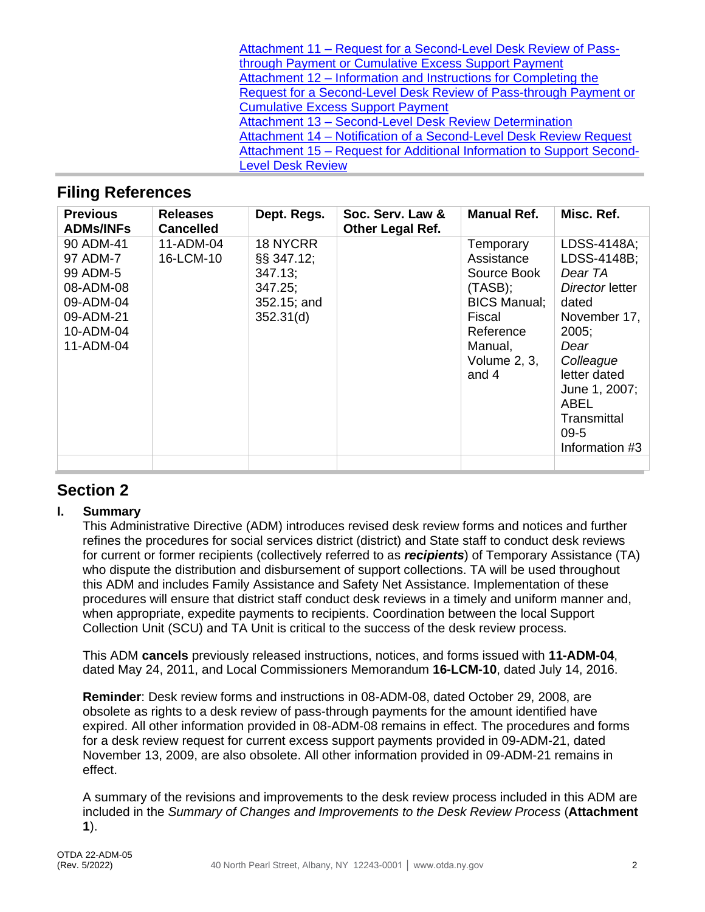| Attachment 11 - Request for a Second-Level Desk Review of Pass-       |
|-----------------------------------------------------------------------|
| through Payment or Cumulative Excess Support Payment                  |
| Attachment 12 – Information and Instructions for Completing the       |
| Request for a Second-Level Desk Review of Pass-through Payment or     |
| <b>Cumulative Excess Support Payment</b>                              |
| Attachment 13 - Second-Level Desk Review Determination                |
| Attachment 14 - Notification of a Second-Level Desk Review Request    |
| Attachment 15 – Request for Additional Information to Support Second- |
| <b>Level Desk Review</b>                                              |

## **Filing References**

| <b>Previous</b><br><b>ADMs/INFs</b>                                                                | <b>Releases</b><br><b>Cancelled</b> | Dept. Regs.                                                                   | Soc. Serv. Law &<br><b>Other Legal Ref.</b> | <b>Manual Ref.</b>                                                                                                                     | Misc. Ref.                                                                                                                                                                                          |
|----------------------------------------------------------------------------------------------------|-------------------------------------|-------------------------------------------------------------------------------|---------------------------------------------|----------------------------------------------------------------------------------------------------------------------------------------|-----------------------------------------------------------------------------------------------------------------------------------------------------------------------------------------------------|
| 90 ADM-41<br>97 ADM-7<br>99 ADM-5<br>08-ADM-08<br>09-ADM-04<br>09-ADM-21<br>10-ADM-04<br>11-ADM-04 | 11-ADM-04<br>16-LCM-10              | 18 NYCRR<br>$\S$ \$ 347.12;<br>347.13;<br>347.25;<br>352.15; and<br>352.31(d) |                                             | Temporary<br>Assistance<br>Source Book<br>$(TASB)$ ;<br><b>BICS Manual:</b><br>Fiscal<br>Reference<br>Manual,<br>Volume 2, 3,<br>and 4 | LDSS-4148A;<br>LDSS-4148B;<br>Dear TA<br>Director letter<br>dated<br>November 17,<br>2005:<br>Dear<br>Colleague<br>letter dated<br>June 1, 2007;<br>ABEL<br>Transmittal<br>$09-5$<br>Information #3 |
|                                                                                                    |                                     |                                                                               |                                             |                                                                                                                                        |                                                                                                                                                                                                     |

# **Section 2**

#### **I. Summary**

This Administrative Directive (ADM) introduces revised desk review forms and notices and further refines the procedures for social services district (district) and State staff to conduct desk reviews for current or former recipients (collectively referred to as *recipients*) of Temporary Assistance (TA) who dispute the distribution and disbursement of support collections. TA will be used throughout this ADM and includes Family Assistance and Safety Net Assistance. Implementation of these procedures will ensure that district staff conduct desk reviews in a timely and uniform manner and, when appropriate, expedite payments to recipients. Coordination between the local Support Collection Unit (SCU) and TA Unit is critical to the success of the desk review process.

This ADM **cancels** previously released instructions, notices, and forms issued with **11-ADM-04**, dated May 24, 2011, and Local Commissioners Memorandum **16-LCM-10**, dated July 14, 2016.

**Reminder**: Desk review forms and instructions in 08-ADM-08, dated October 29, 2008, are obsolete as rights to a desk review of pass-through payments for the amount identified have expired. All other information provided in 08-ADM-08 remains in effect. The procedures and forms for a desk review request for current excess support payments provided in 09-ADM-21, dated November 13, 2009, are also obsolete. All other information provided in 09-ADM-21 remains in effect.

A summary of the revisions and improvements to the desk review process included in this ADM are included in the *Summary of Changes and Improvements to the Desk Review Process* (**Attachment 1**).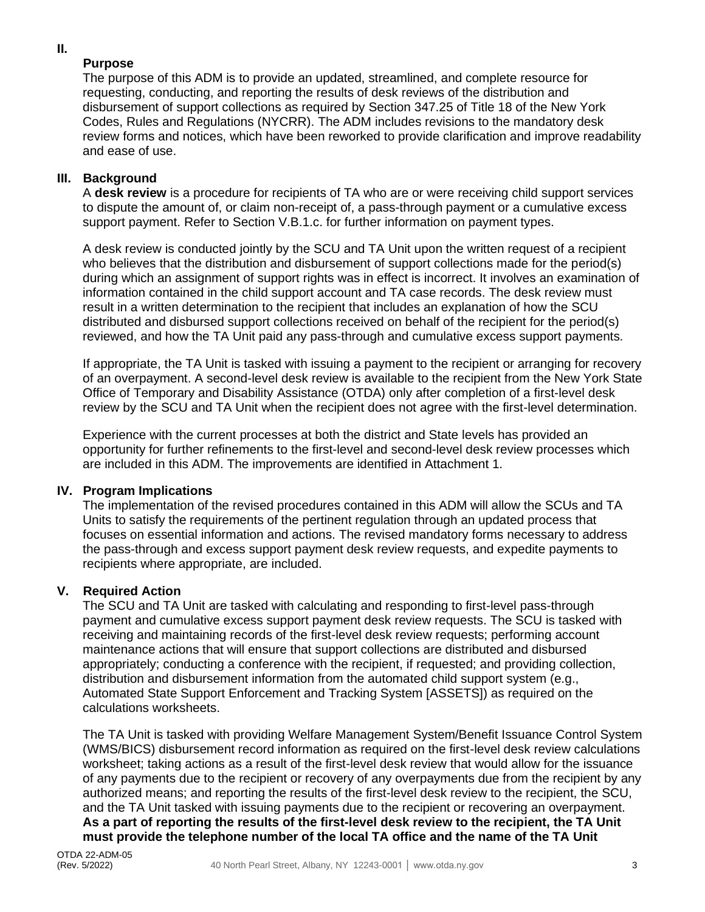#### **II.**

#### **Purpose**

The purpose of this ADM is to provide an updated, streamlined, and complete resource for requesting, conducting, and reporting the results of desk reviews of the distribution and disbursement of support collections as required by Section 347.25 of Title 18 of the New York Codes, Rules and Regulations (NYCRR). The ADM includes revisions to the mandatory desk review forms and notices, which have been reworked to provide clarification and improve readability and ease of use.

#### **III. Background**

A **desk review** is a procedure for recipients of TA who are or were receiving child support services to dispute the amount of, or claim non-receipt of, a pass-through payment or a cumulative excess support payment. Refer to Section V.B.1.c. for further information on payment types.

A desk review is conducted jointly by the SCU and TA Unit upon the written request of a recipient who believes that the distribution and disbursement of support collections made for the period(s) during which an assignment of support rights was in effect is incorrect. It involves an examination of information contained in the child support account and TA case records. The desk review must result in a written determination to the recipient that includes an explanation of how the SCU distributed and disbursed support collections received on behalf of the recipient for the period(s) reviewed, and how the TA Unit paid any pass-through and cumulative excess support payments.

If appropriate, the TA Unit is tasked with issuing a payment to the recipient or arranging for recovery of an overpayment. A second-level desk review is available to the recipient from the New York State Office of Temporary and Disability Assistance (OTDA) only after completion of a first-level desk review by the SCU and TA Unit when the recipient does not agree with the first-level determination.

Experience with the current processes at both the district and State levels has provided an opportunity for further refinements to the first-level and second-level desk review processes which are included in this ADM. The improvements are identified in Attachment 1.

#### **IV. Program Implications**

The implementation of the revised procedures contained in this ADM will allow the SCUs and TA Units to satisfy the requirements of the pertinent regulation through an updated process that focuses on essential information and actions. The revised mandatory forms necessary to address the pass-through and excess support payment desk review requests, and expedite payments to recipients where appropriate, are included.

#### **V. Required Action**

The SCU and TA Unit are tasked with calculating and responding to first-level pass-through payment and cumulative excess support payment desk review requests. The SCU is tasked with receiving and maintaining records of the first-level desk review requests; performing account maintenance actions that will ensure that support collections are distributed and disbursed appropriately; conducting a conference with the recipient, if requested; and providing collection, distribution and disbursement information from the automated child support system (e.g., Automated State Support Enforcement and Tracking System [ASSETS]) as required on the calculations worksheets.

The TA Unit is tasked with providing Welfare Management System/Benefit Issuance Control System (WMS/BICS) disbursement record information as required on the first-level desk review calculations worksheet; taking actions as a result of the first-level desk review that would allow for the issuance of any payments due to the recipient or recovery of any overpayments due from the recipient by any authorized means; and reporting the results of the first-level desk review to the recipient, the SCU, and the TA Unit tasked with issuing payments due to the recipient or recovering an overpayment. **As a part of reporting the results of the first-level desk review to the recipient, the TA Unit must provide the telephone number of the local TA office and the name of the TA Unit**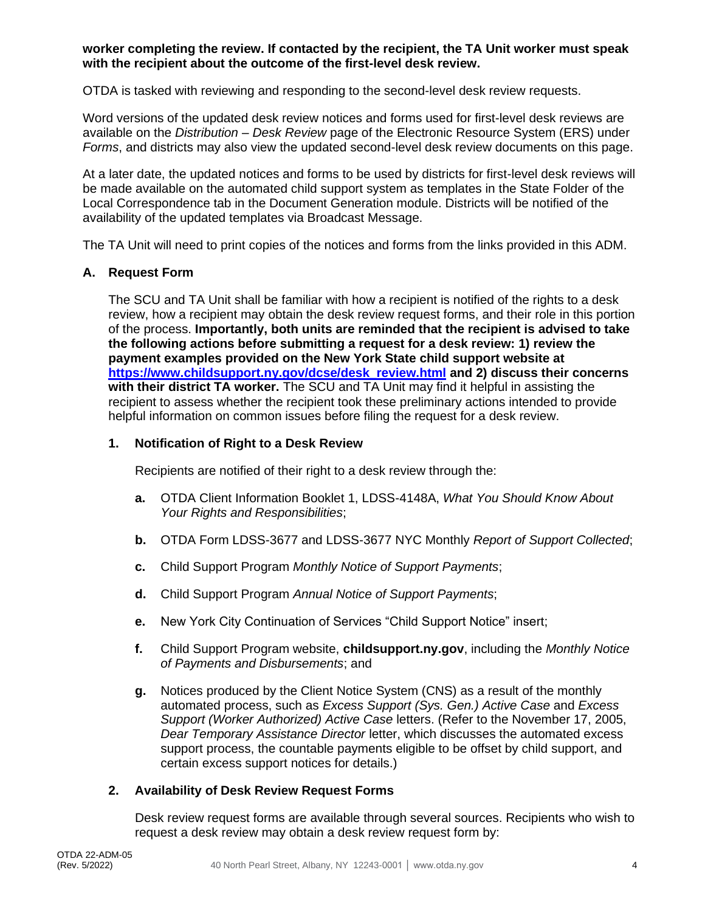#### **worker completing the review. If contacted by the recipient, the TA Unit worker must speak with the recipient about the outcome of the first-level desk review.**

OTDA is tasked with reviewing and responding to the second-level desk review requests.

Word versions of the updated desk review notices and forms used for first-level desk reviews are available on the *Distribution – Desk Review* page of the Electronic Resource System (ERS) under *Forms*, and districts may also view the updated second-level desk review documents on this page.

At a later date, the updated notices and forms to be used by districts for first-level desk reviews will be made available on the automated child support system as templates in the State Folder of the Local Correspondence tab in the Document Generation module. Districts will be notified of the availability of the updated templates via Broadcast Message.

The TA Unit will need to print copies of the notices and forms from the links provided in this ADM.

#### **A. Request Form**

The SCU and TA Unit shall be familiar with how a recipient is notified of the rights to a desk review, how a recipient may obtain the desk review request forms, and their role in this portion of the process. **Importantly, both units are reminded that the recipient is advised to take the following actions before submitting a request for a desk review: 1) review the payment examples provided on the New York State child support website at [https://www.childsupport.ny.gov/dcse/desk\\_review.html](https://www.childsupport.ny.gov/dcse/desk_review.html) and 2) discuss their concerns with their district TA worker.** The SCU and TA Unit may find it helpful in assisting the recipient to assess whether the recipient took these preliminary actions intended to provide helpful information on common issues before filing the request for a desk review.

#### **1. Notification of Right to a Desk Review**

Recipients are notified of their right to a desk review through the:

- **a.** OTDA Client Information Booklet 1, LDSS-4148A, *What You Should Know About Your Rights and Responsibilities*;
- **b.** OTDA Form LDSS-3677 and LDSS-3677 NYC Monthly *Report of Support Collected*;
- **c.** Child Support Program *Monthly Notice of Support Payments*;
- **d.** Child Support Program *Annual Notice of Support Payments*;
- **e.** New York City Continuation of Services "Child Support Notice" insert;
- **f.** Child Support Program website, **childsupport.ny.gov**, including the *Monthly Notice of Payments and Disbursements*; and
- **g.** Notices produced by the Client Notice System (CNS) as a result of the monthly automated process, such as *Excess Support (Sys. Gen.) Active Case* and *Excess Support (Worker Authorized) Active Case* letters. (Refer to the November 17, 2005, *Dear Temporary Assistance Director* letter, which discusses the automated excess support process, the countable payments eligible to be offset by child support, and certain excess support notices for details.)

#### **2. Availability of Desk Review Request Forms**

Desk review request forms are available through several sources. Recipients who wish to request a desk review may obtain a desk review request form by: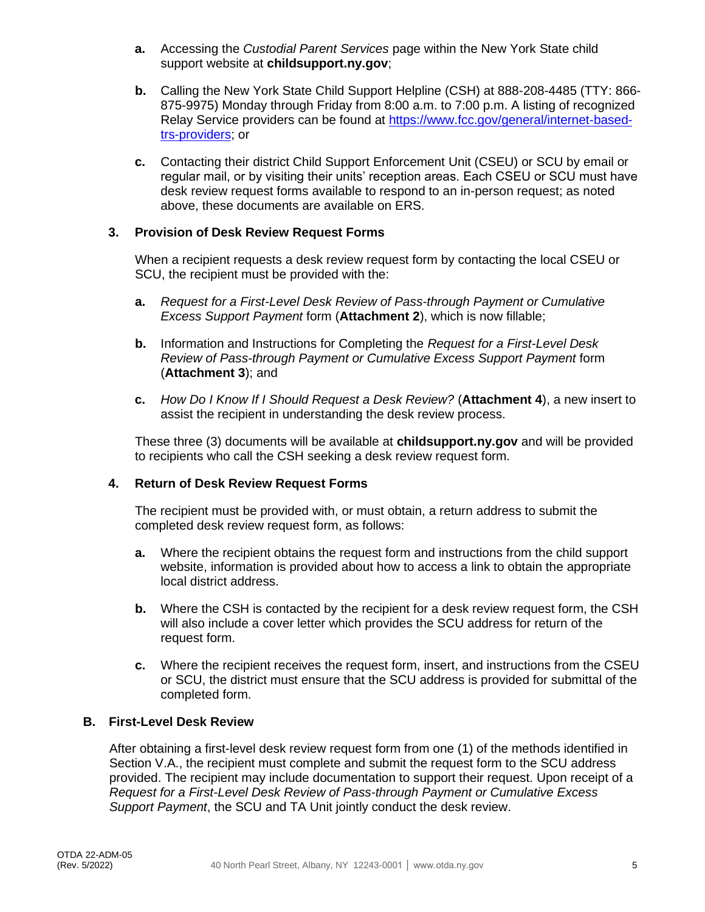- **a.** Accessing the *Custodial Parent Services* page within the New York State child support website at **childsupport.ny.gov**;
- **b.** Calling the New York State Child Support Helpline (CSH) at 888-208-4485 (TTY: 866- 875-9975) Monday through Friday from 8:00 a.m. to 7:00 p.m. A listing of recognized Relay Service providers can be found at [https://www.fcc.gov/general/internet-based](https://www.fcc.gov/general/internet-based-trs-providers)[trs-providers;](https://www.fcc.gov/general/internet-based-trs-providers) or
- **c.** Contacting their district Child Support Enforcement Unit (CSEU) or SCU by email or regular mail, or by visiting their units' reception areas. Each CSEU or SCU must have desk review request forms available to respond to an in-person request; as noted above, these documents are available on ERS.

#### **3. Provision of Desk Review Request Forms**

When a recipient requests a desk review request form by contacting the local CSEU or SCU, the recipient must be provided with the:

- **a.** *Request for a First-Level Desk Review of Pass-through Payment or Cumulative Excess Support Payment* form (**Attachment 2**), which is now fillable;
- **b.** Information and Instructions for Completing the *Request for a First-Level Desk Review of Pass-through Payment or Cumulative Excess Support Payment* form (**Attachment 3**); and
- **c.** *How Do I Know If I Should Request a Desk Review?* (**Attachment 4**), a new insert to assist the recipient in understanding the desk review process.

These three (3) documents will be available at **childsupport.ny.gov** and will be provided to recipients who call the CSH seeking a desk review request form.

#### **4. Return of Desk Review Request Forms**

The recipient must be provided with, or must obtain, a return address to submit the completed desk review request form, as follows:

- **a.** Where the recipient obtains the request form and instructions from the child support website, information is provided about how to access a link to obtain the appropriate local district address.
- **b.** Where the CSH is contacted by the recipient for a desk review request form, the CSH will also include a cover letter which provides the SCU address for return of the request form.
- **c.** Where the recipient receives the request form, insert, and instructions from the CSEU or SCU, the district must ensure that the SCU address is provided for submittal of the completed form.

#### **B. First-Level Desk Review**

After obtaining a first-level desk review request form from one (1) of the methods identified in Section V.A., the recipient must complete and submit the request form to the SCU address provided. The recipient may include documentation to support their request. Upon receipt of a *Request for a First-Level Desk Review of Pass-through Payment or Cumulative Excess Support Payment*, the SCU and TA Unit jointly conduct the desk review.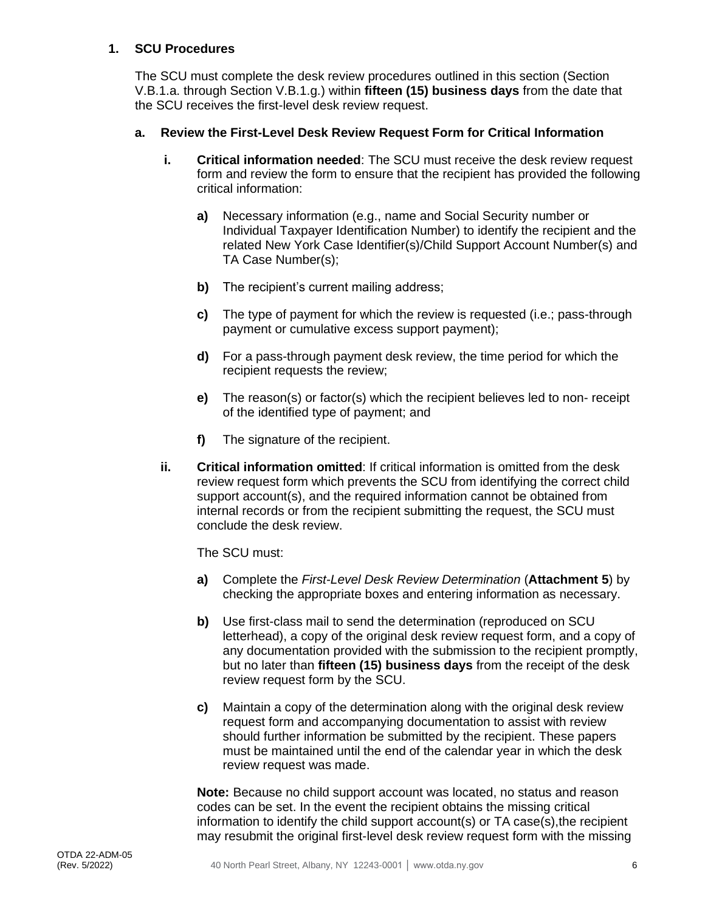#### **1. SCU Procedures**

The SCU must complete the desk review procedures outlined in this section (Section V.B.1.a. through Section V.B.1.g.) within **fifteen (15) business days** from the date that the SCU receives the first-level desk review request.

#### **a. Review the First-Level Desk Review Request Form for Critical Information**

- **i. Critical information needed**: The SCU must receive the desk review request form and review the form to ensure that the recipient has provided the following critical information:
	- **a)** Necessary information (e.g., name and Social Security number or Individual Taxpayer Identification Number) to identify the recipient and the related New York Case Identifier(s)/Child Support Account Number(s) and TA Case Number(s);
	- **b)** The recipient's current mailing address;
	- **c)** The type of payment for which the review is requested (i.e.; pass-through payment or cumulative excess support payment);
	- **d)** For a pass-through payment desk review, the time period for which the recipient requests the review;
	- **e)** The reason(s) or factor(s) which the recipient believes led to non- receipt of the identified type of payment; and
	- **f)** The signature of the recipient.
- **ii. Critical information omitted**: If critical information is omitted from the desk review request form which prevents the SCU from identifying the correct child support account(s), and the required information cannot be obtained from internal records or from the recipient submitting the request, the SCU must conclude the desk review.

The SCU must:

- **a)** Complete the *First-Level Desk Review Determination* (**Attachment 5**) by checking the appropriate boxes and entering information as necessary.
- **b)** Use first-class mail to send the determination (reproduced on SCU letterhead), a copy of the original desk review request form, and a copy of any documentation provided with the submission to the recipient promptly, but no later than **fifteen (15) business days** from the receipt of the desk review request form by the SCU.
- **c)** Maintain a copy of the determination along with the original desk review request form and accompanying documentation to assist with review should further information be submitted by the recipient. These papers must be maintained until the end of the calendar year in which the desk review request was made.

**Note:** Because no child support account was located, no status and reason codes can be set. In the event the recipient obtains the missing critical information to identify the child support account(s) or TA case(s),the recipient may resubmit the original first-level desk review request form with the missing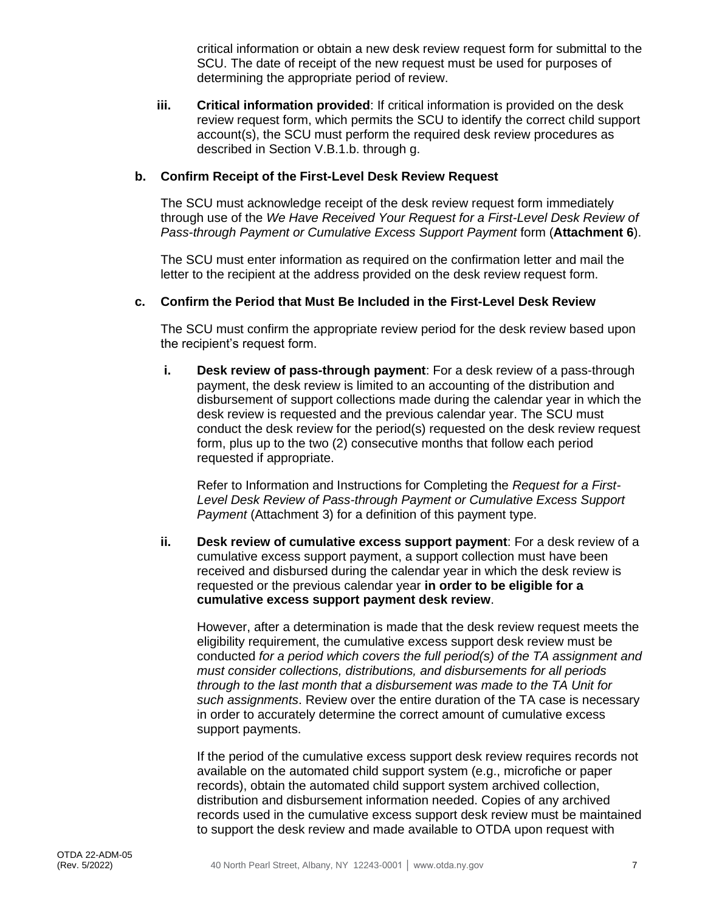critical information or obtain a new desk review request form for submittal to the SCU. The date of receipt of the new request must be used for purposes of determining the appropriate period of review.

**iii. Critical information provided**: If critical information is provided on the desk review request form, which permits the SCU to identify the correct child support account(s), the SCU must perform the required desk review procedures as described in Section V.B.1.b. through g.

#### **b. Confirm Receipt of the First-Level Desk Review Request**

The SCU must acknowledge receipt of the desk review request form immediately through use of the *We Have Received Your Request for a First-Level Desk Review of Pass-through Payment or Cumulative Excess Support Payment* form (**Attachment 6**).

The SCU must enter information as required on the confirmation letter and mail the letter to the recipient at the address provided on the desk review request form.

#### **c. Confirm the Period that Must Be Included in the First-Level Desk Review**

The SCU must confirm the appropriate review period for the desk review based upon the recipient's request form.

**i. Desk review of pass-through payment**: For a desk review of a pass-through payment, the desk review is limited to an accounting of the distribution and disbursement of support collections made during the calendar year in which the desk review is requested and the previous calendar year. The SCU must conduct the desk review for the period(s) requested on the desk review request form, plus up to the two (2) consecutive months that follow each period requested if appropriate.

Refer to Information and Instructions for Completing the *Request for a First-Level Desk Review of Pass-through Payment or Cumulative Excess Support Payment* (Attachment 3) for a definition of this payment type.

**ii. Desk review of cumulative excess support payment**: For a desk review of a cumulative excess support payment, a support collection must have been received and disbursed during the calendar year in which the desk review is requested or the previous calendar year **in order to be eligible for a cumulative excess support payment desk review**.

However, after a determination is made that the desk review request meets the eligibility requirement, the cumulative excess support desk review must be conducted *for a period which covers the full period(s) of the TA assignment and must consider collections, distributions, and disbursements for all periods through to the last month that a disbursement was made to the TA Unit for such assignments*. Review over the entire duration of the TA case is necessary in order to accurately determine the correct amount of cumulative excess support payments.

If the period of the cumulative excess support desk review requires records not available on the automated child support system (e.g., microfiche or paper records), obtain the automated child support system archived collection, distribution and disbursement information needed. Copies of any archived records used in the cumulative excess support desk review must be maintained to support the desk review and made available to OTDA upon request with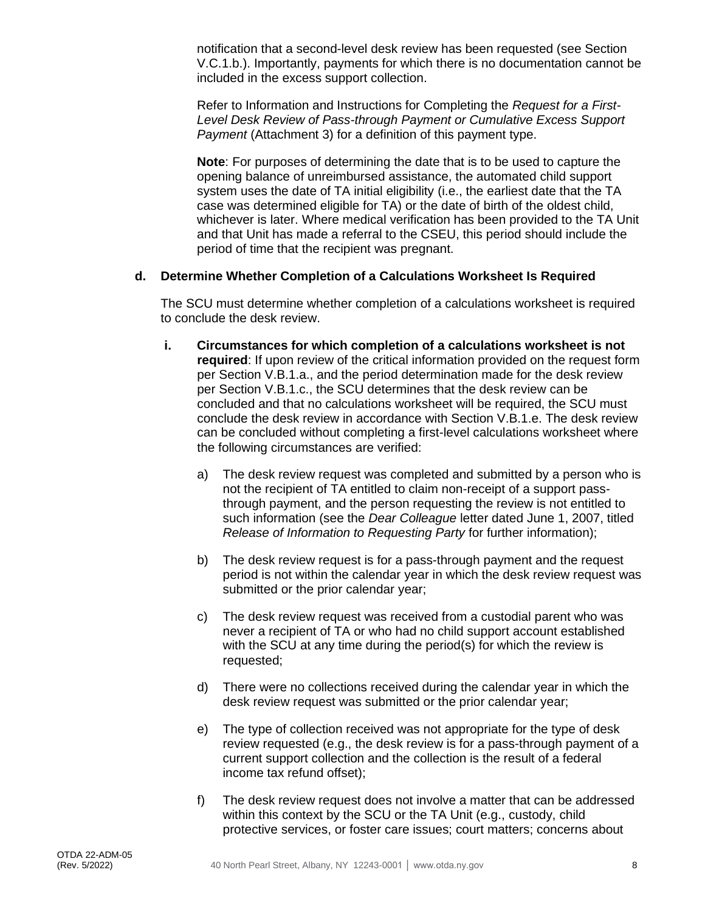notification that a second-level desk review has been requested (see Section V.C.1.b.). Importantly, payments for which there is no documentation cannot be included in the excess support collection.

Refer to Information and Instructions for Completing the *Request for a First-Level Desk Review of Pass-through Payment or Cumulative Excess Support Payment* (Attachment 3) for a definition of this payment type.

**Note**: For purposes of determining the date that is to be used to capture the opening balance of unreimbursed assistance, the automated child support system uses the date of TA initial eligibility (i.e., the earliest date that the TA case was determined eligible for TA) or the date of birth of the oldest child, whichever is later. Where medical verification has been provided to the TA Unit and that Unit has made a referral to the CSEU, this period should include the period of time that the recipient was pregnant.

#### **d. Determine Whether Completion of a Calculations Worksheet Is Required**

The SCU must determine whether completion of a calculations worksheet is required to conclude the desk review.

- **i. Circumstances for which completion of a calculations worksheet is not required**: If upon review of the critical information provided on the request form per Section V.B.1.a., and the period determination made for the desk review per Section V.B.1.c., the SCU determines that the desk review can be concluded and that no calculations worksheet will be required, the SCU must conclude the desk review in accordance with Section V.B.1.e. The desk review can be concluded without completing a first-level calculations worksheet where the following circumstances are verified:
	- a) The desk review request was completed and submitted by a person who is not the recipient of TA entitled to claim non-receipt of a support passthrough payment, and the person requesting the review is not entitled to such information (see the *Dear Colleague* letter dated June 1, 2007, titled *Release of Information to Requesting Party* for further information);
	- b) The desk review request is for a pass-through payment and the request period is not within the calendar year in which the desk review request was submitted or the prior calendar year;
	- c) The desk review request was received from a custodial parent who was never a recipient of TA or who had no child support account established with the SCU at any time during the period(s) for which the review is requested;
	- d) There were no collections received during the calendar year in which the desk review request was submitted or the prior calendar year;
	- e) The type of collection received was not appropriate for the type of desk review requested (e.g., the desk review is for a pass-through payment of a current support collection and the collection is the result of a federal income tax refund offset);
	- f) The desk review request does not involve a matter that can be addressed within this context by the SCU or the TA Unit (e.g., custody, child protective services, or foster care issues; court matters; concerns about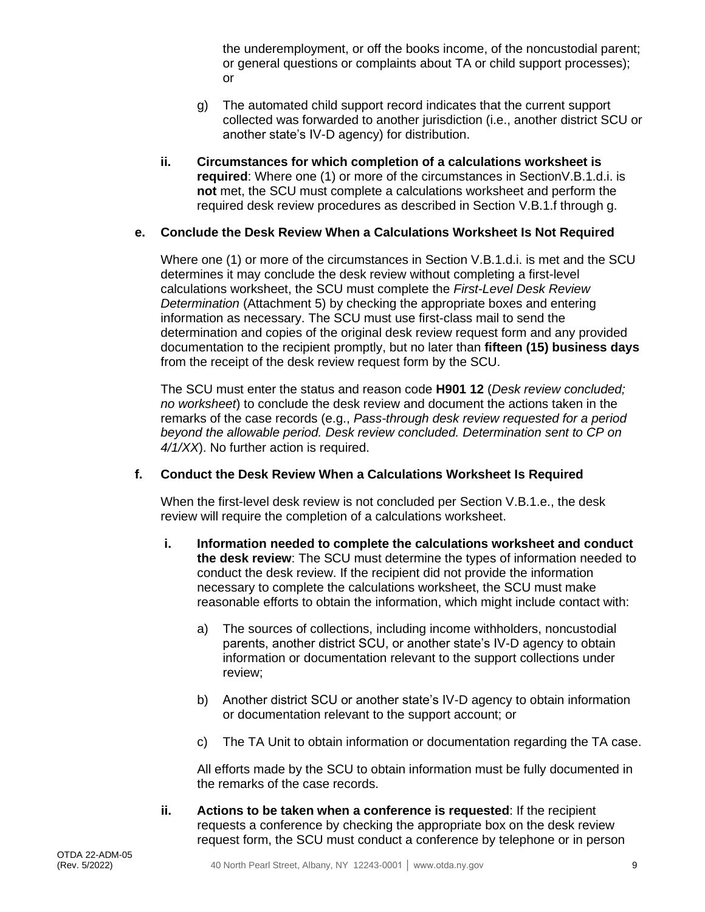the underemployment, or off the books income, of the noncustodial parent; or general questions or complaints about TA or child support processes); or

- g) The automated child support record indicates that the current support collected was forwarded to another jurisdiction (i.e., another district SCU or another state's IV-D agency) for distribution.
- **ii. Circumstances for which completion of a calculations worksheet is required**: Where one (1) or more of the circumstances in SectionV.B.1.d.i. is **not** met, the SCU must complete a calculations worksheet and perform the required desk review procedures as described in Section V.B.1.f through g.

#### **e. Conclude the Desk Review When a Calculations Worksheet Is Not Required**

Where one (1) or more of the circumstances in Section V.B.1.d.i. is met and the SCU determines it may conclude the desk review without completing a first-level calculations worksheet, the SCU must complete the *First-Level Desk Review Determination* (Attachment 5) by checking the appropriate boxes and entering information as necessary. The SCU must use first-class mail to send the determination and copies of the original desk review request form and any provided documentation to the recipient promptly, but no later than **fifteen (15) business days** from the receipt of the desk review request form by the SCU.

The SCU must enter the status and reason code **H901 12** (*Desk review concluded; no worksheet*) to conclude the desk review and document the actions taken in the remarks of the case records (e.g., *Pass-through desk review requested for a period beyond the allowable period. Desk review concluded. Determination sent to CP on 4/1/XX*). No further action is required.

#### **f. Conduct the Desk Review When a Calculations Worksheet Is Required**

When the first-level desk review is not concluded per Section V.B.1.e., the desk review will require the completion of a calculations worksheet.

- **i. Information needed to complete the calculations worksheet and conduct the desk review**: The SCU must determine the types of information needed to conduct the desk review. If the recipient did not provide the information necessary to complete the calculations worksheet, the SCU must make reasonable efforts to obtain the information, which might include contact with:
	- a) The sources of collections, including income withholders, noncustodial parents, another district SCU, or another state's IV-D agency to obtain information or documentation relevant to the support collections under review;
	- b) Another district SCU or another state's IV-D agency to obtain information or documentation relevant to the support account; or
	- c) The TA Unit to obtain information or documentation regarding the TA case.

All efforts made by the SCU to obtain information must be fully documented in the remarks of the case records.

**ii. Actions to be taken when a conference is requested**: If the recipient requests a conference by checking the appropriate box on the desk review request form, the SCU must conduct a conference by telephone or in person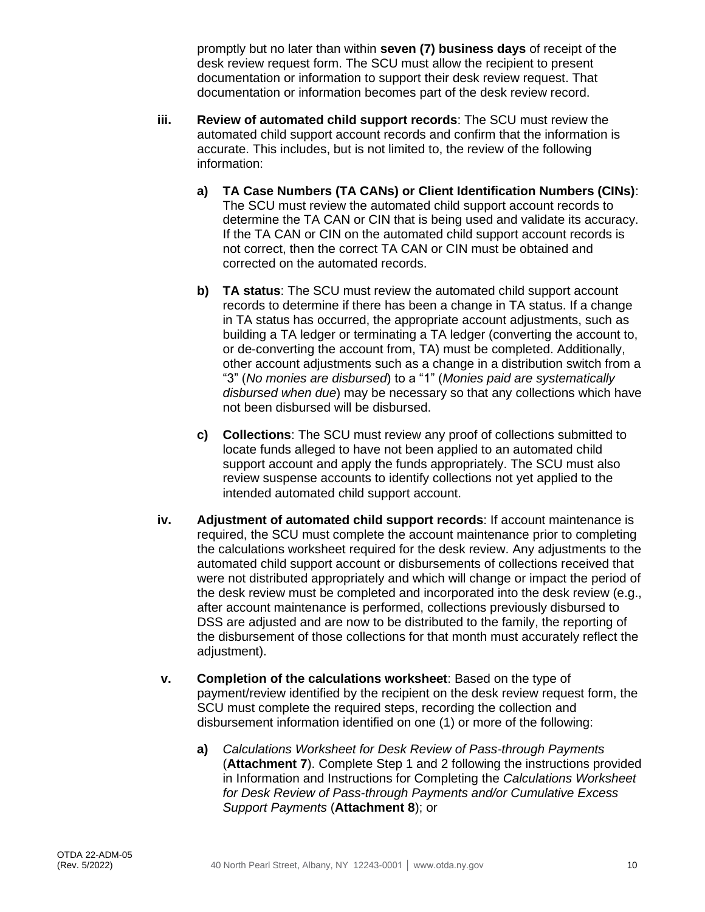promptly but no later than within **seven (7) business days** of receipt of the desk review request form. The SCU must allow the recipient to present documentation or information to support their desk review request. That documentation or information becomes part of the desk review record.

- **iii. Review of automated child support records**: The SCU must review the automated child support account records and confirm that the information is accurate. This includes, but is not limited to, the review of the following information:
	- **a) TA Case Numbers (TA CANs) or Client Identification Numbers (CINs)**: The SCU must review the automated child support account records to determine the TA CAN or CIN that is being used and validate its accuracy. If the TA CAN or CIN on the automated child support account records is not correct, then the correct TA CAN or CIN must be obtained and corrected on the automated records.
	- **b) TA status**: The SCU must review the automated child support account records to determine if there has been a change in TA status. If a change in TA status has occurred, the appropriate account adjustments, such as building a TA ledger or terminating a TA ledger (converting the account to, or de-converting the account from, TA) must be completed. Additionally, other account adjustments such as a change in a distribution switch from a "3" (*No monies are disbursed*) to a "1" (*Monies paid are systematically disbursed when due*) may be necessary so that any collections which have not been disbursed will be disbursed.
	- **c) Collections**: The SCU must review any proof of collections submitted to locate funds alleged to have not been applied to an automated child support account and apply the funds appropriately. The SCU must also review suspense accounts to identify collections not yet applied to the intended automated child support account.
- **iv. Adjustment of automated child support records**: If account maintenance is required, the SCU must complete the account maintenance prior to completing the calculations worksheet required for the desk review. Any adjustments to the automated child support account or disbursements of collections received that were not distributed appropriately and which will change or impact the period of the desk review must be completed and incorporated into the desk review (e.g., after account maintenance is performed, collections previously disbursed to DSS are adjusted and are now to be distributed to the family, the reporting of the disbursement of those collections for that month must accurately reflect the adjustment).
- **v. Completion of the calculations worksheet**: Based on the type of payment/review identified by the recipient on the desk review request form, the SCU must complete the required steps, recording the collection and disbursement information identified on one (1) or more of the following:
	- **a)** *Calculations Worksheet for Desk Review of Pass-through Payments* (**Attachment 7**). Complete Step 1 and 2 following the instructions provided in Information and Instructions for Completing the *Calculations Worksheet for Desk Review of Pass-through Payments and/or Cumulative Excess Support Payments* (**Attachment 8**); or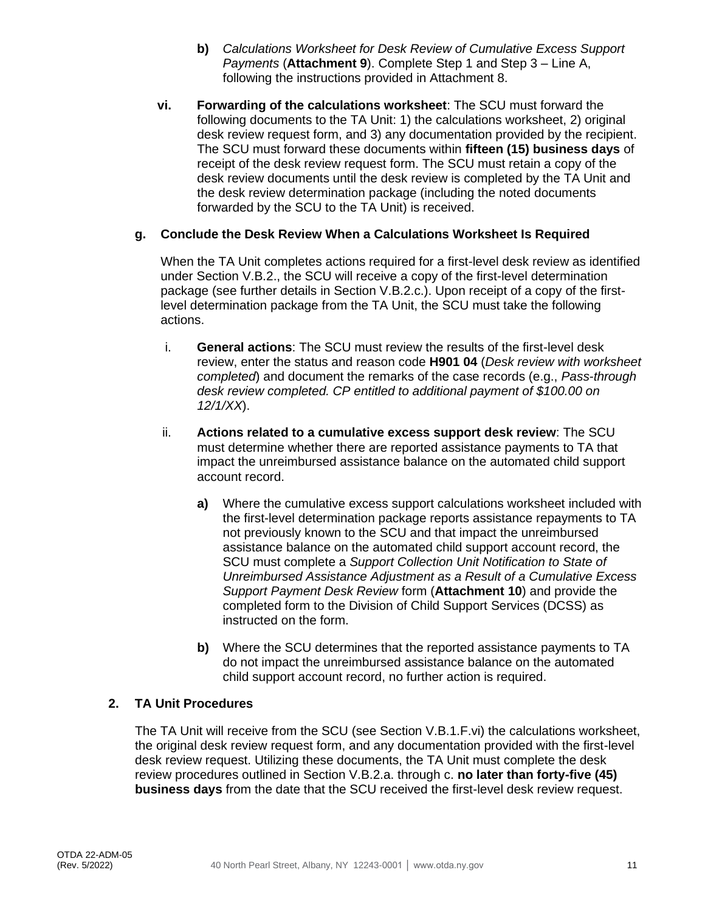- **b)** *Calculations Worksheet for Desk Review of Cumulative Excess Support Payments* (**Attachment 9**). Complete Step 1 and Step 3 – Line A, following the instructions provided in Attachment 8.
- **vi. Forwarding of the calculations worksheet**: The SCU must forward the following documents to the TA Unit: 1) the calculations worksheet, 2) original desk review request form, and 3) any documentation provided by the recipient. The SCU must forward these documents within **fifteen (15) business days** of receipt of the desk review request form. The SCU must retain a copy of the desk review documents until the desk review is completed by the TA Unit and the desk review determination package (including the noted documents forwarded by the SCU to the TA Unit) is received.

#### **g. Conclude the Desk Review When a Calculations Worksheet Is Required**

When the TA Unit completes actions required for a first-level desk review as identified under Section V.B.2., the SCU will receive a copy of the first-level determination package (see further details in Section V.B.2.c.). Upon receipt of a copy of the firstlevel determination package from the TA Unit, the SCU must take the following actions.

- i. **General actions**: The SCU must review the results of the first-level desk review, enter the status and reason code **H901 04** (*Desk review with worksheet completed*) and document the remarks of the case records (e.g., *Pass-through desk review completed. CP entitled to additional payment of \$100.00 on 12/1/XX*).
- ii. **Actions related to a cumulative excess support desk review**: The SCU must determine whether there are reported assistance payments to TA that impact the unreimbursed assistance balance on the automated child support account record.
	- **a)** Where the cumulative excess support calculations worksheet included with the first-level determination package reports assistance repayments to TA not previously known to the SCU and that impact the unreimbursed assistance balance on the automated child support account record, the SCU must complete a *Support Collection Unit Notification to State of Unreimbursed Assistance Adjustment as a Result of a Cumulative Excess Support Payment Desk Review* form (**Attachment 10**) and provide the completed form to the Division of Child Support Services (DCSS) as instructed on the form.
	- **b)** Where the SCU determines that the reported assistance payments to TA do not impact the unreimbursed assistance balance on the automated child support account record, no further action is required.

#### **2. TA Unit Procedures**

The TA Unit will receive from the SCU (see Section V.B.1.F.vi) the calculations worksheet, the original desk review request form, and any documentation provided with the first-level desk review request. Utilizing these documents, the TA Unit must complete the desk review procedures outlined in Section V.B.2.a. through c. **no later than forty-five (45) business days** from the date that the SCU received the first-level desk review request.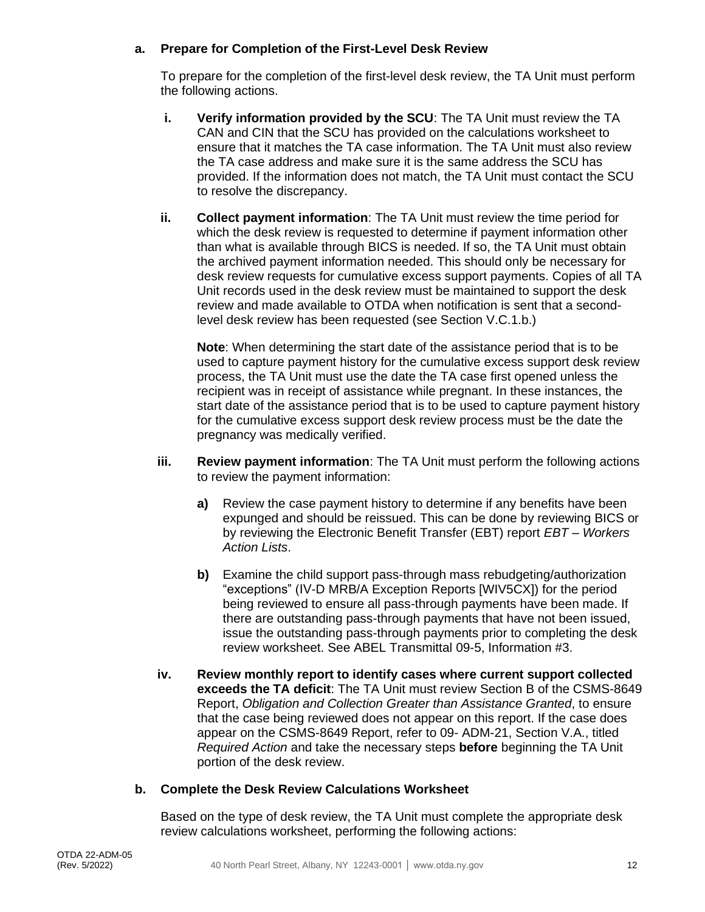#### **a. Prepare for Completion of the First-Level Desk Review**

To prepare for the completion of the first-level desk review, the TA Unit must perform the following actions.

- **i. Verify information provided by the SCU**: The TA Unit must review the TA CAN and CIN that the SCU has provided on the calculations worksheet to ensure that it matches the TA case information. The TA Unit must also review the TA case address and make sure it is the same address the SCU has provided. If the information does not match, the TA Unit must contact the SCU to resolve the discrepancy.
- **ii. Collect payment information**: The TA Unit must review the time period for which the desk review is requested to determine if payment information other than what is available through BICS is needed. If so, the TA Unit must obtain the archived payment information needed. This should only be necessary for desk review requests for cumulative excess support payments. Copies of all TA Unit records used in the desk review must be maintained to support the desk review and made available to OTDA when notification is sent that a secondlevel desk review has been requested (see Section V.C.1.b.)

**Note**: When determining the start date of the assistance period that is to be used to capture payment history for the cumulative excess support desk review process, the TA Unit must use the date the TA case first opened unless the recipient was in receipt of assistance while pregnant. In these instances, the start date of the assistance period that is to be used to capture payment history for the cumulative excess support desk review process must be the date the pregnancy was medically verified.

- **iii. Review payment information**: The TA Unit must perform the following actions to review the payment information:
	- **a)** Review the case payment history to determine if any benefits have been expunged and should be reissued. This can be done by reviewing BICS or by reviewing the Electronic Benefit Transfer (EBT) report *EBT – Workers Action Lists*.
	- **b)** Examine the child support pass-through mass rebudgeting/authorization "exceptions" (IV-D MRB/A Exception Reports [WIV5CX]) for the period being reviewed to ensure all pass-through payments have been made. If there are outstanding pass-through payments that have not been issued, issue the outstanding pass-through payments prior to completing the desk review worksheet. See ABEL Transmittal 09-5, Information #3.
- **iv. Review monthly report to identify cases where current support collected exceeds the TA deficit**: The TA Unit must review Section B of the CSMS-8649 Report, *Obligation and Collection Greater than Assistance Granted*, to ensure that the case being reviewed does not appear on this report. If the case does appear on the CSMS-8649 Report, refer to 09- ADM-21, Section V.A., titled *Required Action* and take the necessary steps **before** beginning the TA Unit portion of the desk review.

#### **b. Complete the Desk Review Calculations Worksheet**

Based on the type of desk review, the TA Unit must complete the appropriate desk review calculations worksheet, performing the following actions: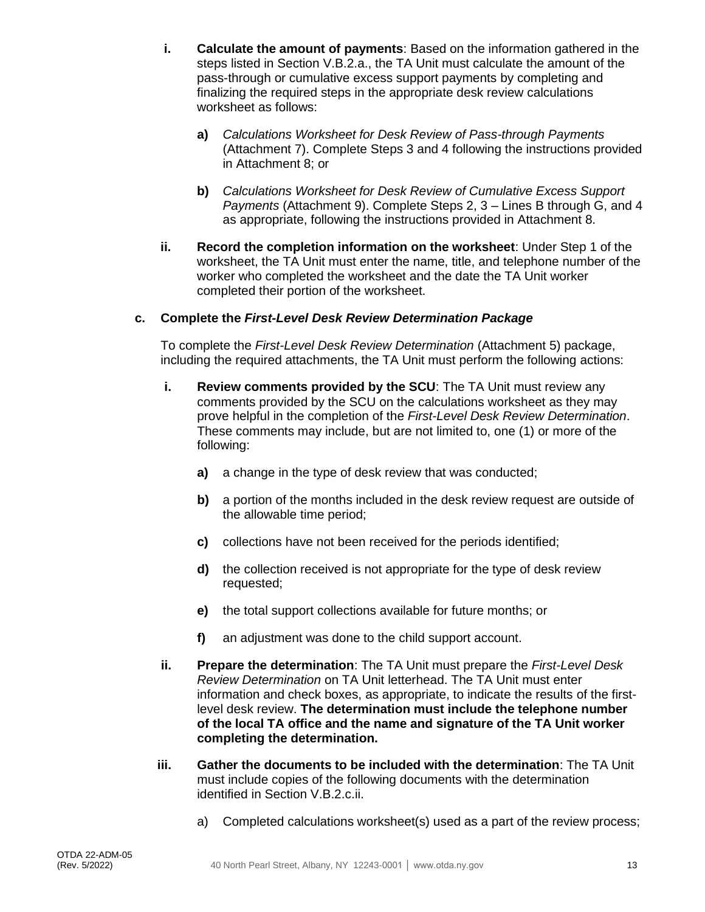- **i. Calculate the amount of payments**: Based on the information gathered in the steps listed in Section V.B.2.a., the TA Unit must calculate the amount of the pass-through or cumulative excess support payments by completing and finalizing the required steps in the appropriate desk review calculations worksheet as follows:
	- **a)** *Calculations Worksheet for Desk Review of Pass-through Payments* (Attachment 7). Complete Steps 3 and 4 following the instructions provided in Attachment 8; or
	- **b)** *Calculations Worksheet for Desk Review of Cumulative Excess Support Payments* (Attachment 9). Complete Steps 2, 3 – Lines B through G, and 4 as appropriate, following the instructions provided in Attachment 8.
- **ii. Record the completion information on the worksheet**: Under Step 1 of the worksheet, the TA Unit must enter the name, title, and telephone number of the worker who completed the worksheet and the date the TA Unit worker completed their portion of the worksheet.

#### **c. Complete the** *First-Level Desk Review Determination Package*

To complete the *First-Level Desk Review Determination* (Attachment 5) package, including the required attachments, the TA Unit must perform the following actions:

- **i. Review comments provided by the SCU:** The TA Unit must review any comments provided by the SCU on the calculations worksheet as they may prove helpful in the completion of the *First-Level Desk Review Determination*. These comments may include, but are not limited to, one (1) or more of the following:
	- **a)** a change in the type of desk review that was conducted;
	- **b)** a portion of the months included in the desk review request are outside of the allowable time period;
	- **c)** collections have not been received for the periods identified;
	- **d)** the collection received is not appropriate for the type of desk review requested;
	- **e)** the total support collections available for future months; or
	- **f)** an adjustment was done to the child support account.
- **ii. Prepare the determination**: The TA Unit must prepare the *First-Level Desk Review Determination* on TA Unit letterhead. The TA Unit must enter information and check boxes, as appropriate, to indicate the results of the firstlevel desk review. **The determination must include the telephone number of the local TA office and the name and signature of the TA Unit worker completing the determination.**
- **iii. Gather the documents to be included with the determination**: The TA Unit must include copies of the following documents with the determination identified in Section V.B.2.c.ii.
	- a) Completed calculations worksheet(s) used as a part of the review process;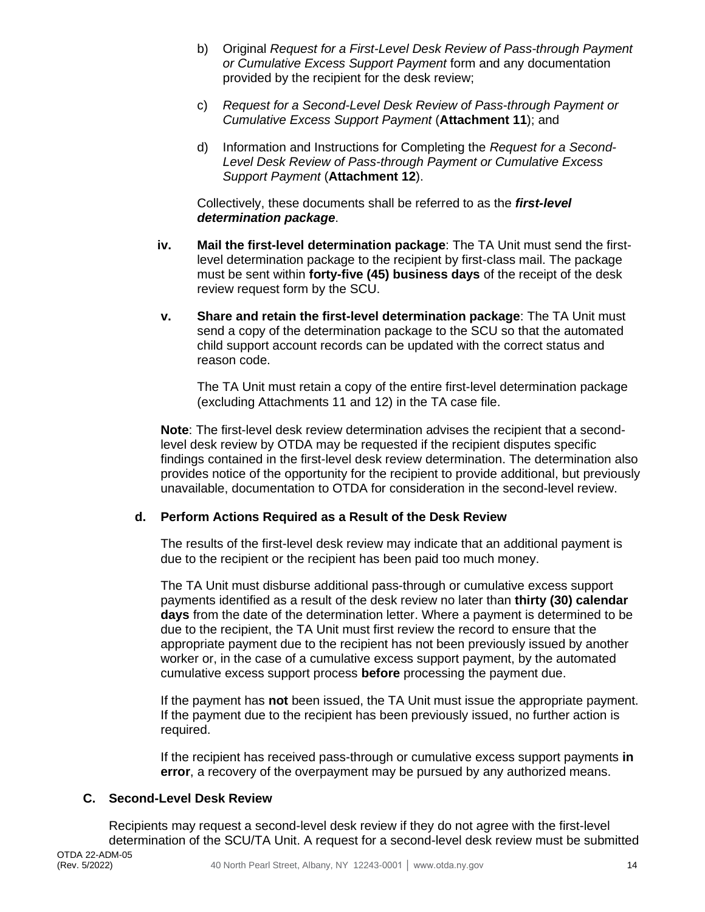- b) Original *Request for a First-Level Desk Review of Pass-through Payment or Cumulative Excess Support Payment* form and any documentation provided by the recipient for the desk review;
- c) *Request for a Second-Level Desk Review of Pass-through Payment or Cumulative Excess Support Payment* (**Attachment 11**); and
- d) Information and Instructions for Completing the *Request for a Second-Level Desk Review of Pass-through Payment or Cumulative Excess Support Payment* (**Attachment 12**).

Collectively, these documents shall be referred to as the *first-level determination package*.

- **iv. Mail the first-level determination package**: The TA Unit must send the firstlevel determination package to the recipient by first-class mail. The package must be sent within **forty-five (45) business days** of the receipt of the desk review request form by the SCU.
- **v. Share and retain the first-level determination package**: The TA Unit must send a copy of the determination package to the SCU so that the automated child support account records can be updated with the correct status and reason code.

The TA Unit must retain a copy of the entire first-level determination package (excluding Attachments 11 and 12) in the TA case file.

**Note**: The first-level desk review determination advises the recipient that a secondlevel desk review by OTDA may be requested if the recipient disputes specific findings contained in the first-level desk review determination. The determination also provides notice of the opportunity for the recipient to provide additional, but previously unavailable, documentation to OTDA for consideration in the second-level review.

#### **d. Perform Actions Required as a Result of the Desk Review**

The results of the first-level desk review may indicate that an additional payment is due to the recipient or the recipient has been paid too much money.

The TA Unit must disburse additional pass-through or cumulative excess support payments identified as a result of the desk review no later than **thirty (30) calendar days** from the date of the determination letter. Where a payment is determined to be due to the recipient, the TA Unit must first review the record to ensure that the appropriate payment due to the recipient has not been previously issued by another worker or, in the case of a cumulative excess support payment, by the automated cumulative excess support process **before** processing the payment due.

If the payment has **not** been issued, the TA Unit must issue the appropriate payment. If the payment due to the recipient has been previously issued, no further action is required.

If the recipient has received pass-through or cumulative excess support payments **in error**, a recovery of the overpayment may be pursued by any authorized means.

#### **C. Second-Level Desk Review**

Recipients may request a second-level desk review if they do not agree with the first-level determination of the SCU/TA Unit. A request for a second-level desk review must be submitted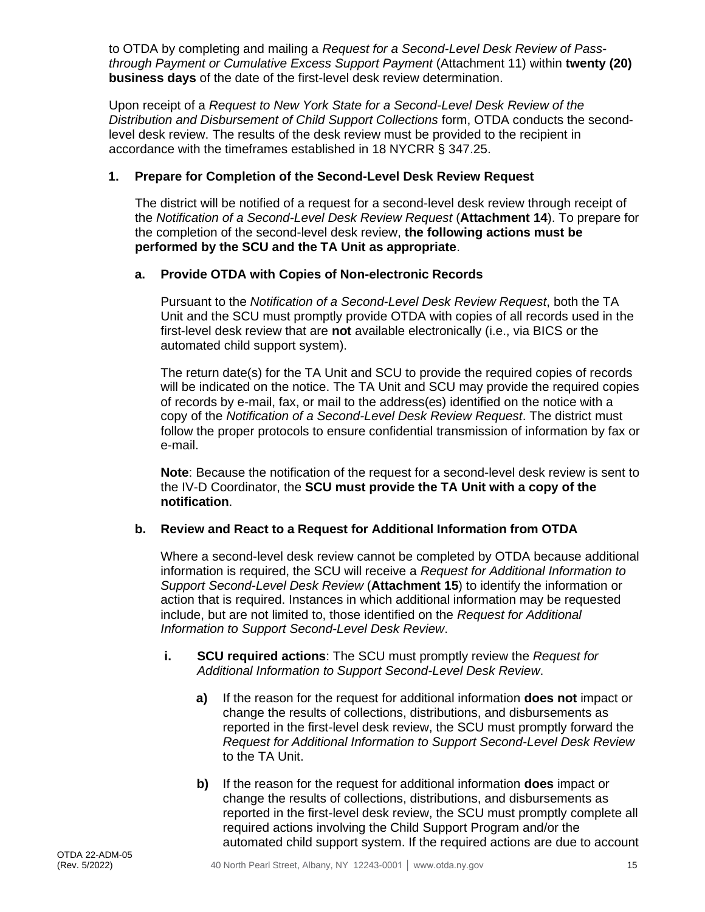to OTDA by completing and mailing a *Request for a Second-Level Desk Review of Passthrough Payment or Cumulative Excess Support Payment* (Attachment 11) within **twenty (20) business days** of the date of the first-level desk review determination.

Upon receipt of a *Request to New York State for a Second-Level Desk Review of the Distribution and Disbursement of Child Support Collections* form, OTDA conducts the secondlevel desk review. The results of the desk review must be provided to the recipient in accordance with the timeframes established in 18 NYCRR § 347.25.

#### **1. Prepare for Completion of the Second-Level Desk Review Request**

The district will be notified of a request for a second-level desk review through receipt of the *Notification of a Second-Level Desk Review Request* (**Attachment 14**). To prepare for the completion of the second-level desk review, **the following actions must be performed by the SCU and the TA Unit as appropriate**.

#### **a. Provide OTDA with Copies of Non-electronic Records**

Pursuant to the *Notification of a Second-Level Desk Review Request*, both the TA Unit and the SCU must promptly provide OTDA with copies of all records used in the first-level desk review that are **not** available electronically (i.e., via BICS or the automated child support system).

The return date(s) for the TA Unit and SCU to provide the required copies of records will be indicated on the notice. The TA Unit and SCU may provide the required copies of records by e-mail, fax, or mail to the address(es) identified on the notice with a copy of the *Notification of a Second-Level Desk Review Request*. The district must follow the proper protocols to ensure confidential transmission of information by fax or e-mail.

**Note**: Because the notification of the request for a second-level desk review is sent to the IV-D Coordinator, the **SCU must provide the TA Unit with a copy of the notification**.

#### **b. Review and React to a Request for Additional Information from OTDA**

Where a second-level desk review cannot be completed by OTDA because additional information is required, the SCU will receive a *Request for Additional Information to Support Second-Level Desk Review* (**Attachment 15**) to identify the information or action that is required. Instances in which additional information may be requested include, but are not limited to, those identified on the *Request for Additional Information to Support Second-Level Desk Review*.

- **i. SCU required actions**: The SCU must promptly review the *Request for Additional Information to Support Second-Level Desk Review*.
	- **a)** If the reason for the request for additional information **does not** impact or change the results of collections, distributions, and disbursements as reported in the first-level desk review, the SCU must promptly forward the *Request for Additional Information to Support Second-Level Desk Review* to the TA Unit.
	- **b)** If the reason for the request for additional information **does** impact or change the results of collections, distributions, and disbursements as reported in the first-level desk review, the SCU must promptly complete all required actions involving the Child Support Program and/or the automated child support system. If the required actions are due to account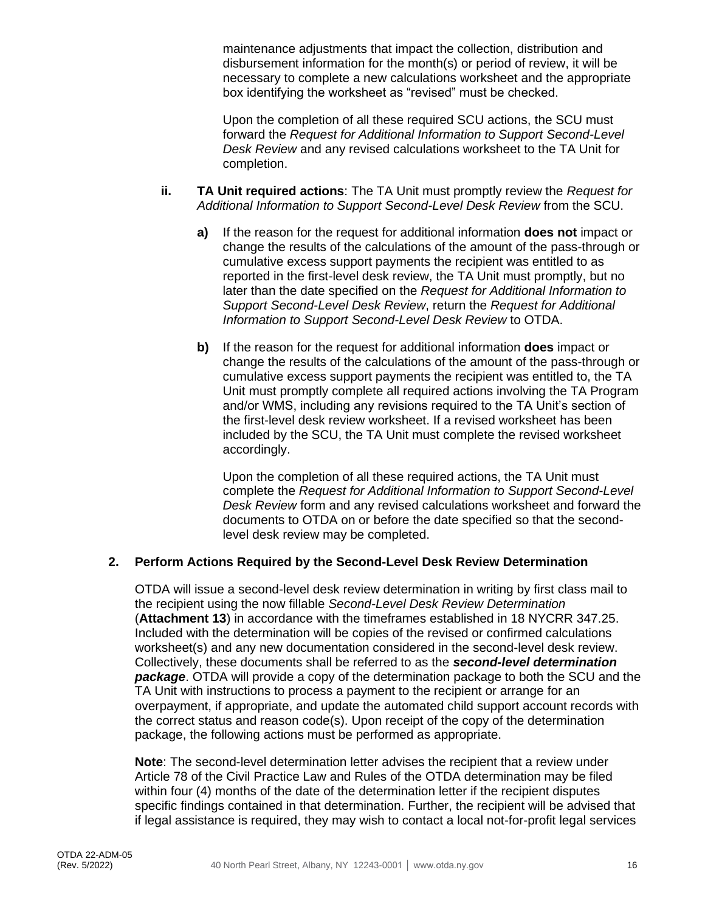maintenance adjustments that impact the collection, distribution and disbursement information for the month(s) or period of review, it will be necessary to complete a new calculations worksheet and the appropriate box identifying the worksheet as "revised" must be checked.

Upon the completion of all these required SCU actions, the SCU must forward the *Request for Additional Information to Support Second-Level Desk Review* and any revised calculations worksheet to the TA Unit for completion.

- **ii. TA Unit required actions**: The TA Unit must promptly review the *Request for Additional Information to Support Second-Level Desk Review* from the SCU.
	- **a)** If the reason for the request for additional information **does not** impact or change the results of the calculations of the amount of the pass-through or cumulative excess support payments the recipient was entitled to as reported in the first-level desk review, the TA Unit must promptly, but no later than the date specified on the *Request for Additional Information to Support Second-Level Desk Review*, return the *Request for Additional Information to Support Second-Level Desk Review* to OTDA.
	- **b)** If the reason for the request for additional information **does** impact or change the results of the calculations of the amount of the pass-through or cumulative excess support payments the recipient was entitled to, the TA Unit must promptly complete all required actions involving the TA Program and/or WMS, including any revisions required to the TA Unit's section of the first-level desk review worksheet. If a revised worksheet has been included by the SCU, the TA Unit must complete the revised worksheet accordingly.

Upon the completion of all these required actions, the TA Unit must complete the *Request for Additional Information to Support Second-Level Desk Review* form and any revised calculations worksheet and forward the documents to OTDA on or before the date specified so that the secondlevel desk review may be completed.

#### **2. Perform Actions Required by the Second-Level Desk Review Determination**

OTDA will issue a second-level desk review determination in writing by first class mail to the recipient using the now fillable *Second-Level Desk Review Determination* (**Attachment 13**) in accordance with the timeframes established in 18 NYCRR 347.25. Included with the determination will be copies of the revised or confirmed calculations worksheet(s) and any new documentation considered in the second-level desk review. Collectively, these documents shall be referred to as the *second-level determination package*. OTDA will provide a copy of the determination package to both the SCU and the TA Unit with instructions to process a payment to the recipient or arrange for an overpayment, if appropriate, and update the automated child support account records with the correct status and reason code(s). Upon receipt of the copy of the determination package, the following actions must be performed as appropriate.

**Note**: The second-level determination letter advises the recipient that a review under Article 78 of the Civil Practice Law and Rules of the OTDA determination may be filed within four (4) months of the date of the determination letter if the recipient disputes specific findings contained in that determination. Further, the recipient will be advised that if legal assistance is required, they may wish to contact a local not-for-profit legal services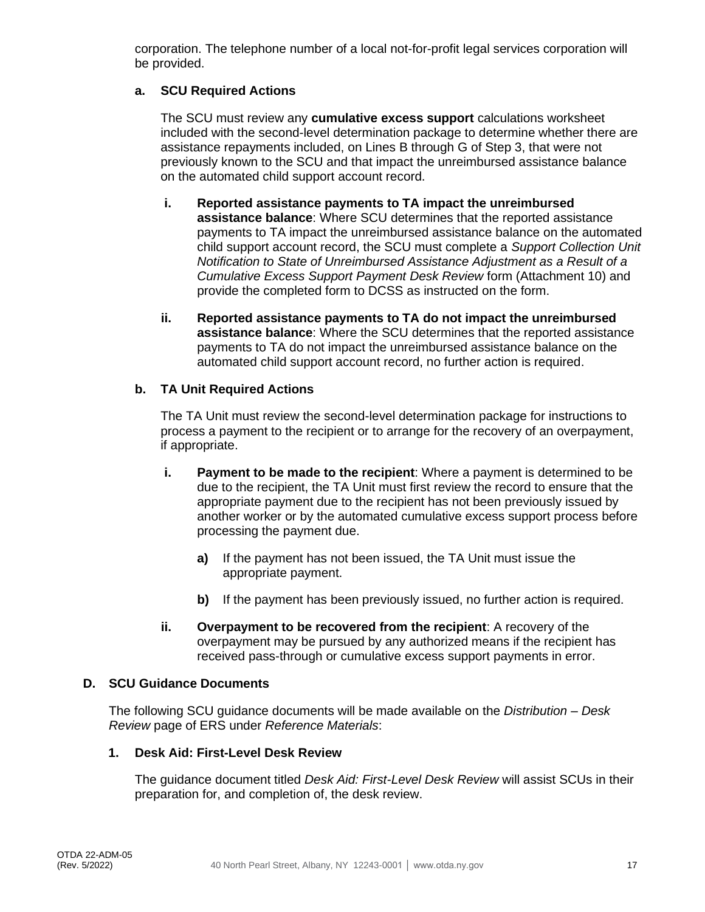corporation. The telephone number of a local not-for-profit legal services corporation will be provided.

#### **a. SCU Required Actions**

The SCU must review any **cumulative excess support** calculations worksheet included with the second-level determination package to determine whether there are assistance repayments included, on Lines B through G of Step 3, that were not previously known to the SCU and that impact the unreimbursed assistance balance on the automated child support account record.

- **i. Reported assistance payments to TA impact the unreimbursed assistance balance**: Where SCU determines that the reported assistance payments to TA impact the unreimbursed assistance balance on the automated child support account record, the SCU must complete a *Support Collection Unit Notification to State of Unreimbursed Assistance Adjustment as a Result of a Cumulative Excess Support Payment Desk Review* form (Attachment 10) and provide the completed form to DCSS as instructed on the form.
- **ii. Reported assistance payments to TA do not impact the unreimbursed assistance balance**: Where the SCU determines that the reported assistance payments to TA do not impact the unreimbursed assistance balance on the automated child support account record, no further action is required.

#### **b. TA Unit Required Actions**

The TA Unit must review the second-level determination package for instructions to process a payment to the recipient or to arrange for the recovery of an overpayment, if appropriate.

- **i. Payment to be made to the recipient**: Where a payment is determined to be due to the recipient, the TA Unit must first review the record to ensure that the appropriate payment due to the recipient has not been previously issued by another worker or by the automated cumulative excess support process before processing the payment due.
	- **a)** If the payment has not been issued, the TA Unit must issue the appropriate payment.
	- **b)** If the payment has been previously issued, no further action is required.
- **ii. Overpayment to be recovered from the recipient**: A recovery of the overpayment may be pursued by any authorized means if the recipient has received pass-through or cumulative excess support payments in error.

#### **D. SCU Guidance Documents**

The following SCU guidance documents will be made available on the *Distribution – Desk Review* page of ERS under *Reference Materials*:

#### **1. Desk Aid: First-Level Desk Review**

The guidance document titled *Desk Aid: First-Level Desk Review* will assist SCUs in their preparation for, and completion of, the desk review.